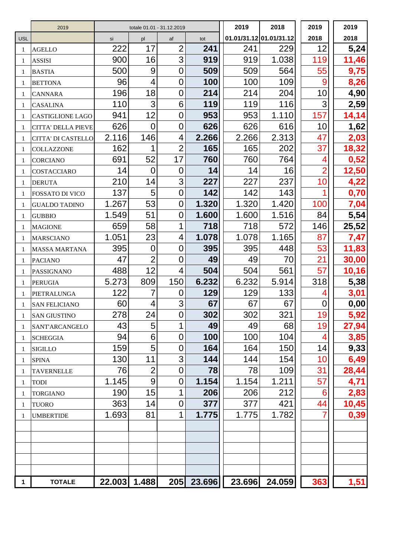|              | 2019                      |              | totale 01.01 - 31.12.2019 |                |            | 2019                    | 2018          | 2019           | 2019  |
|--------------|---------------------------|--------------|---------------------------|----------------|------------|-------------------------|---------------|----------------|-------|
| <b>USL</b>   |                           | si           | pl                        | af             | tot        | 01.01/31.12 01.01/31.12 |               | 2018           | 2018  |
| 1            | <b>AGELLO</b>             | 222          | 17                        | $\overline{2}$ | 241        | 241                     | 229           | 12             | 5,24  |
| 1            | <b>ASSISI</b>             | 900          | 16                        | 3              | 919        | 919                     | 1.038         | 119            | 11,46 |
| 1            | <b>BASTIA</b>             | 500          | 9                         | 0              | 509        | 509                     | 564           | 55             | 9,75  |
| 1            | <b>BETTONA</b>            | 96           | 4                         | $\overline{0}$ | 100        | 100                     | 109           | 9              | 8,26  |
| 1            | <b>CANNARA</b>            | 196          | 18                        | 0              | 214        | 214                     | 204           | 10             | 4,90  |
| 1            | <b>CASALINA</b>           | 110          | 3                         | 6              | 119        | 119                     | 116           | 3              | 2,59  |
| 1            | <b>CASTIGLIONE LAGO</b>   | 941          | 12                        | 0              | 953        | 953                     | 1.110         | 157            | 14,14 |
| 1            | <b>CITTA' DELLA PIEVE</b> | 626          | 0                         | $\overline{0}$ | 626        | 626                     | 616           | 10             | 1,62  |
| 1            | CITTA' DI CASTELLO        | 2.116        | 146                       | 4              | 2.266      | 2.266                   | 2.313         | 47             | 2,03  |
| 1            | <b>COLLAZZONE</b>         | 162          | 1                         | $\overline{2}$ | 165        | 165                     | 202           | 37             | 18,32 |
| 1            | <b>CORCIANO</b>           | 691          | 52                        | 17             | 760        | 760                     | 764           |                | 0,52  |
| 1            | COSTACCIARO               | 14           | 0                         | 0              | 14         | 14                      | 16            | $\overline{2}$ | 12,50 |
| 1            | <b>DERUTA</b>             | 210          | 14                        | 3              | 227        | 227                     | 237           | 10             | 4,22  |
| 1            | FOSSATO DI VICO           | 137          | 5                         | $\overline{0}$ | 142        | 142                     | 143           |                | 0,70  |
| 1            | <b>GUALDO TADINO</b>      | 1.267        | 53                        | $\overline{0}$ | 1.320      | 1.320                   | 1.420         | 100            | 7,04  |
| 1            | <b>GUBBIO</b>             | 1.549        | 51                        | 0              | 1.600      | 1.600                   | 1.516         | 84             | 5,54  |
| 1            | <b>MAGIONE</b>            | 659          | 58                        | 1              | 718        | 718                     | 572           | 146            | 25,52 |
| 1            | <b>MARSCIANO</b>          | 1.051        | 23                        | 4              | 1.078      | 1.078                   | 1.165         | 87             | 7,47  |
|              | <b>MASSA MARTANA</b>      | 395          | $\overline{0}$            | $\overline{0}$ | 395        | 395                     | 448           | 53             | 11,83 |
| 1            | <b>PACIANO</b>            | 47           | $\overline{2}$            | 0              | 49         | 49                      | 70            | 21             | 30,00 |
| 1            | PASSIGNANO                | 488          | 12                        | 4              | 504        | 504                     | 561           | 57             | 10,16 |
| 1            | <b>PERUGIA</b>            | 5.273        | 809                       | 150            | 6.232      | 6.232                   | 5.914         | 318            | 5,38  |
| 1            | PIETRALUNGA               | 122          |                           | 0              | 129        | 129                     | 133           |                | 3,01  |
|              | <b>SAN FELICIANO</b>      | 60           | 4                         | 3              | 67         | 67                      | 67            | 0              | 0,00  |
|              | <b>SAN GIUSTINO</b>       | 278          | 24                        | $\mathbf 0$    | 302        | 302                     | 321           | 19             | 5,92  |
| 1            | SANT'ARCANGELO            | 43           | 5                         |                | 49         | 49                      | 68            | 19             | 27,94 |
| 1            | <b>SCHEGGIA</b>           | 94           | 6                         | $\overline{0}$ | 100        | 100                     | 104           | 4              | 3,85  |
| 1            | <b>SIGILLO</b>            | 159          | 5                         | 0              | 164        | 164                     | 150           | 14             | 9,33  |
| 1            | <b>SPINA</b>              | 130          | 11                        | 3              | 144        | 144                     | 154           | 10             | 6,49  |
| 1            | <b>TAVERNELLE</b>         | 76           | $\overline{2}$            | $\overline{0}$ | 78         | 78                      | 109           | 31             | 28,44 |
| 1            | <b>TODI</b>               | 1.145        | 9                         | $\overline{0}$ | 1.154      | 1.154                   | 1.211         | 57             | 4,71  |
| 1            | <b>TORGIANO</b>           | 190          | 15                        | 1              | 206        | 206                     | 212           | 6              | 2,83  |
| 1            | <b>TUORO</b>              | 363          | 14                        | 0              | 377        | 377                     | 421           | 44             | 10,45 |
|              | <b>UMBERTIDE</b>          | 1.693        | 81                        | 1              | 1.775      | 1.775                   | 1.782         | 7              | 0,39  |
|              |                           |              |                           |                |            |                         |               |                |       |
|              |                           |              |                           |                |            |                         |               |                |       |
|              |                           |              |                           |                |            |                         |               |                |       |
|              |                           |              |                           |                |            |                         |               |                |       |
|              |                           |              |                           |                |            |                         |               |                |       |
| $\mathbf{1}$ | <b>TOTALE</b>             | 22.003 1.488 |                           |                | 205 23.696 |                         | 23.696 24.059 | 363            | 1,51  |